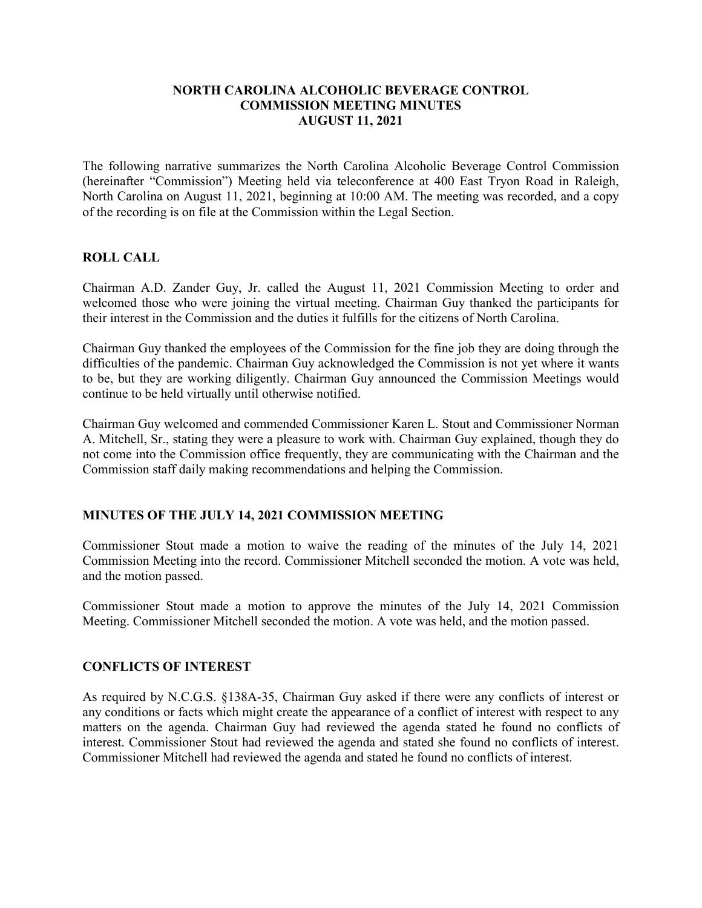#### **NORTH CAROLINA ALCOHOLIC BEVERAGE CONTROL COMMISSION MEETING MINUTES AUGUST 11, 2021**

The following narrative summarizes the North Carolina Alcoholic Beverage Control Commission (hereinafter "Commission") Meeting held via teleconference at 400 East Tryon Road in Raleigh, North Carolina on August 11, 2021, beginning at 10:00 AM. The meeting was recorded, and a copy of the recording is on file at the Commission within the Legal Section.

## **ROLL CALL**

Chairman A.D. Zander Guy, Jr. called the August 11, 2021 Commission Meeting to order and welcomed those who were joining the virtual meeting. Chairman Guy thanked the participants for their interest in the Commission and the duties it fulfills for the citizens of North Carolina.

Chairman Guy thanked the employees of the Commission for the fine job they are doing through the difficulties of the pandemic. Chairman Guy acknowledged the Commission is not yet where it wants to be, but they are working diligently. Chairman Guy announced the Commission Meetings would continue to be held virtually until otherwise notified.

Chairman Guy welcomed and commended Commissioner Karen L. Stout and Commissioner Norman A. Mitchell, Sr., stating they were a pleasure to work with. Chairman Guy explained, though they do not come into the Commission office frequently, they are communicating with the Chairman and the Commission staff daily making recommendations and helping the Commission.

## **MINUTES OF THE JULY 14, 2021 COMMISSION MEETING**

Commissioner Stout made a motion to waive the reading of the minutes of the July 14, 2021 Commission Meeting into the record. Commissioner Mitchell seconded the motion. A vote was held, and the motion passed.

Commissioner Stout made a motion to approve the minutes of the July 14, 2021 Commission Meeting. Commissioner Mitchell seconded the motion. A vote was held, and the motion passed.

## **CONFLICTS OF INTEREST**

As required by N.C.G.S. §138A-35, Chairman Guy asked if there were any conflicts of interest or any conditions or facts which might create the appearance of a conflict of interest with respect to any matters on the agenda. Chairman Guy had reviewed the agenda stated he found no conflicts of interest. Commissioner Stout had reviewed the agenda and stated she found no conflicts of interest. Commissioner Mitchell had reviewed the agenda and stated he found no conflicts of interest.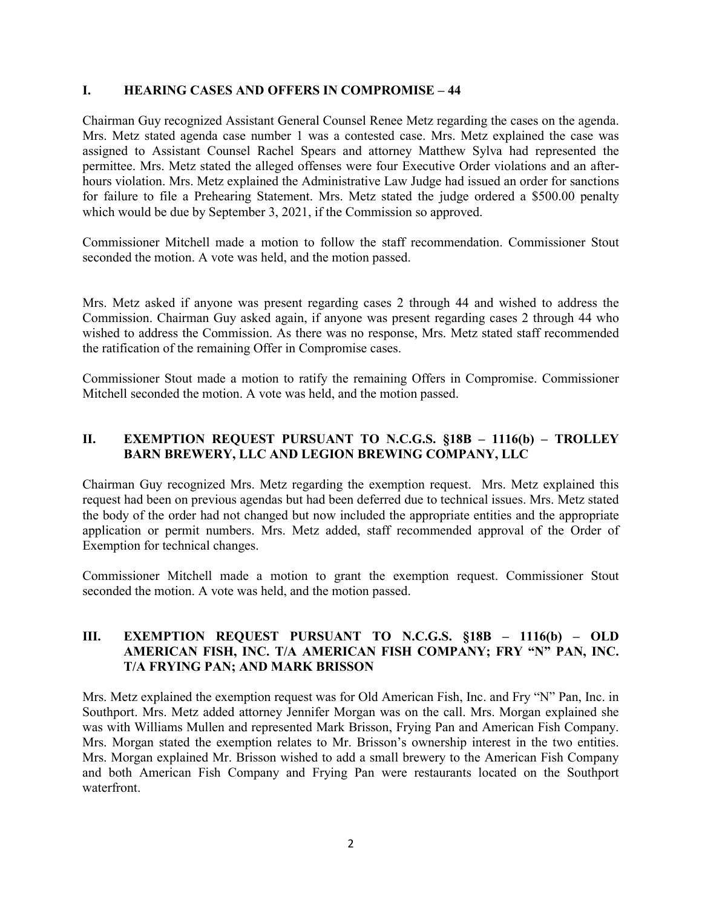#### **I. HEARING CASES AND OFFERS IN COMPROMISE – 44**

Chairman Guy recognized Assistant General Counsel Renee Metz regarding the cases on the agenda. Mrs. Metz stated agenda case number 1 was a contested case. Mrs. Metz explained the case was assigned to Assistant Counsel Rachel Spears and attorney Matthew Sylva had represented the permittee. Mrs. Metz stated the alleged offenses were four Executive Order violations and an afterhours violation. Mrs. Metz explained the Administrative Law Judge had issued an order for sanctions for failure to file a Prehearing Statement. Mrs. Metz stated the judge ordered a \$500.00 penalty which would be due by September 3, 2021, if the Commission so approved.

Commissioner Mitchell made a motion to follow the staff recommendation. Commissioner Stout seconded the motion. A vote was held, and the motion passed.

Mrs. Metz asked if anyone was present regarding cases 2 through 44 and wished to address the Commission. Chairman Guy asked again, if anyone was present regarding cases 2 through 44 who wished to address the Commission. As there was no response, Mrs. Metz stated staff recommended the ratification of the remaining Offer in Compromise cases.

Commissioner Stout made a motion to ratify the remaining Offers in Compromise. Commissioner Mitchell seconded the motion. A vote was held, and the motion passed.

## **II. EXEMPTION REQUEST PURSUANT TO N.C.G.S. §18B – 1116(b) – TROLLEY BARN BREWERY, LLC AND LEGION BREWING COMPANY, LLC**

Chairman Guy recognized Mrs. Metz regarding the exemption request. Mrs. Metz explained this request had been on previous agendas but had been deferred due to technical issues. Mrs. Metz stated the body of the order had not changed but now included the appropriate entities and the appropriate application or permit numbers. Mrs. Metz added, staff recommended approval of the Order of Exemption for technical changes.

Commissioner Mitchell made a motion to grant the exemption request. Commissioner Stout seconded the motion. A vote was held, and the motion passed.

#### **III. EXEMPTION REQUEST PURSUANT TO N.C.G.S. §18B – 1116(b) – OLD AMERICAN FISH, INC. T/A AMERICAN FISH COMPANY; FRY "N" PAN, INC. T/A FRYING PAN; AND MARK BRISSON**

Mrs. Metz explained the exemption request was for Old American Fish, Inc. and Fry "N" Pan, Inc. in Southport. Mrs. Metz added attorney Jennifer Morgan was on the call. Mrs. Morgan explained she was with Williams Mullen and represented Mark Brisson, Frying Pan and American Fish Company. Mrs. Morgan stated the exemption relates to Mr. Brisson's ownership interest in the two entities. Mrs. Morgan explained Mr. Brisson wished to add a small brewery to the American Fish Company and both American Fish Company and Frying Pan were restaurants located on the Southport waterfront.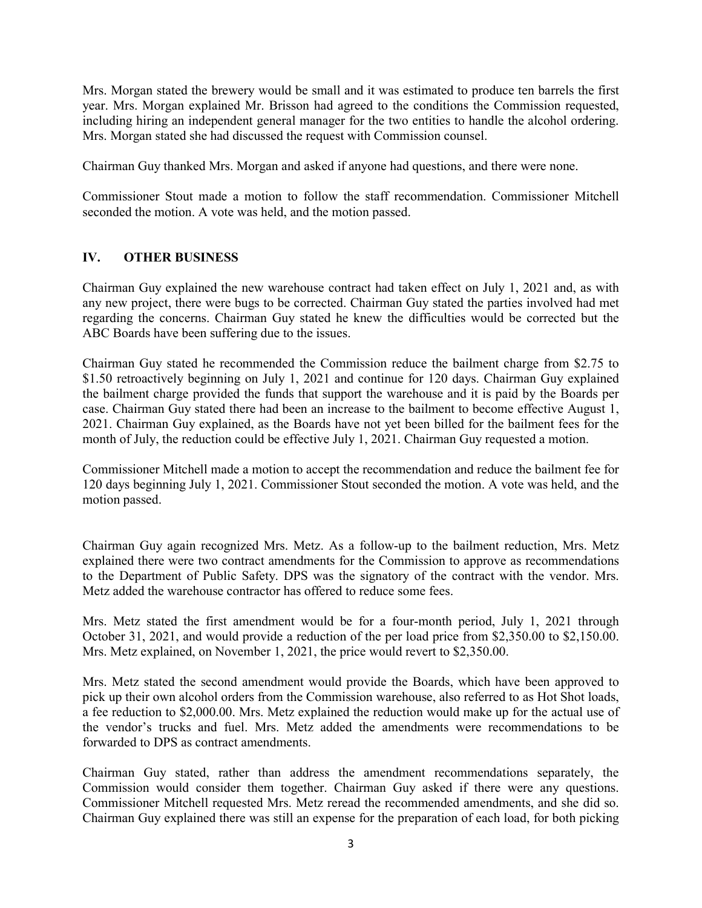Mrs. Morgan stated the brewery would be small and it was estimated to produce ten barrels the first year. Mrs. Morgan explained Mr. Brisson had agreed to the conditions the Commission requested, including hiring an independent general manager for the two entities to handle the alcohol ordering. Mrs. Morgan stated she had discussed the request with Commission counsel.

Chairman Guy thanked Mrs. Morgan and asked if anyone had questions, and there were none.

Commissioner Stout made a motion to follow the staff recommendation. Commissioner Mitchell seconded the motion. A vote was held, and the motion passed.

# **IV. OTHER BUSINESS**

Chairman Guy explained the new warehouse contract had taken effect on July 1, 2021 and, as with any new project, there were bugs to be corrected. Chairman Guy stated the parties involved had met regarding the concerns. Chairman Guy stated he knew the difficulties would be corrected but the ABC Boards have been suffering due to the issues.

Chairman Guy stated he recommended the Commission reduce the bailment charge from \$2.75 to \$1.50 retroactively beginning on July 1, 2021 and continue for 120 days. Chairman Guy explained the bailment charge provided the funds that support the warehouse and it is paid by the Boards per case. Chairman Guy stated there had been an increase to the bailment to become effective August 1, 2021. Chairman Guy explained, as the Boards have not yet been billed for the bailment fees for the month of July, the reduction could be effective July 1, 2021. Chairman Guy requested a motion.

Commissioner Mitchell made a motion to accept the recommendation and reduce the bailment fee for 120 days beginning July 1, 2021. Commissioner Stout seconded the motion. A vote was held, and the motion passed.

Chairman Guy again recognized Mrs. Metz. As a follow-up to the bailment reduction, Mrs. Metz explained there were two contract amendments for the Commission to approve as recommendations to the Department of Public Safety. DPS was the signatory of the contract with the vendor. Mrs. Metz added the warehouse contractor has offered to reduce some fees.

Mrs. Metz stated the first amendment would be for a four-month period, July 1, 2021 through October 31, 2021, and would provide a reduction of the per load price from \$2,350.00 to \$2,150.00. Mrs. Metz explained, on November 1, 2021, the price would revert to \$2,350.00.

Mrs. Metz stated the second amendment would provide the Boards, which have been approved to pick up their own alcohol orders from the Commission warehouse, also referred to as Hot Shot loads, a fee reduction to \$2,000.00. Mrs. Metz explained the reduction would make up for the actual use of the vendor's trucks and fuel. Mrs. Metz added the amendments were recommendations to be forwarded to DPS as contract amendments.

Chairman Guy stated, rather than address the amendment recommendations separately, the Commission would consider them together. Chairman Guy asked if there were any questions. Commissioner Mitchell requested Mrs. Metz reread the recommended amendments, and she did so. Chairman Guy explained there was still an expense for the preparation of each load, for both picking